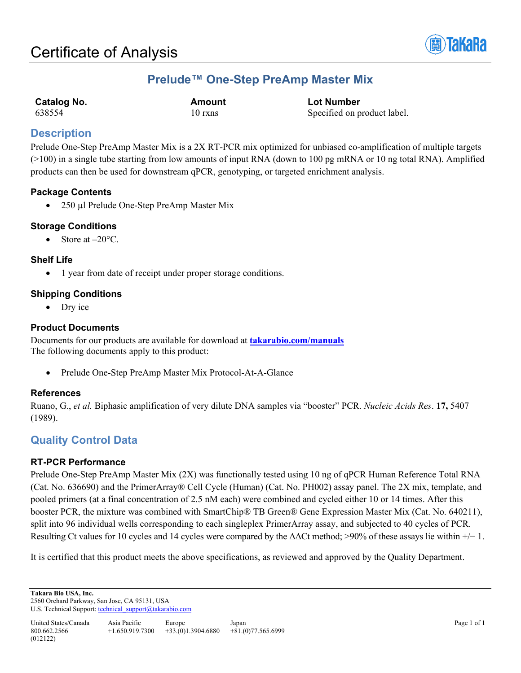

# **Prelude™ One-Step PreAmp Master Mix**

| <b>Catalog No.</b> |  |
|--------------------|--|
| 638554             |  |

**Catalog No. Amount Lot Number** 10 rxns Specified on product label.

## **Description**

Prelude One-Step PreAmp Master Mix is a 2X RT-PCR mix optimized for unbiased co-amplification of multiple targets (>100) in a single tube starting from low amounts of input RNA (down to 100 pg mRNA or 10 ng total RNA). Amplified products can then be used for downstream qPCR, genotyping, or targeted enrichment analysis.

## **Package Contents**

• 250 µl Prelude One-Step PreAmp Master Mix

## **Storage Conditions**

• Store at  $-20^{\circ}$ C.

## **Shelf Life**

• 1 year from date of receipt under proper storage conditions.

## **Shipping Conditions**

Dry ice

## **Product Documents**

Documents for our products are available for download at **[takarabio.com/manuals](http://www.takarabio.com/manuals)** The following documents apply to this product:

• Prelude One-Step PreAmp Master Mix Protocol-At-A-Glance

## **References**

Ruano, G., *et al.* Biphasic amplification of very dilute DNA samples via "booster" PCR. *Nucleic Acids Res*. **17,** 5407 (1989).

## **Quality Control Data**

## **RT-PCR Performance**

Prelude One-Step PreAmp Master Mix (2X) was functionally tested using 10 ng of qPCR Human Reference Total RNA (Cat. No. 636690) and the PrimerArray® Cell Cycle (Human) (Cat. No. PH002) assay panel. The 2X mix, template, and pooled primers (at a final concentration of 2.5 nM each) were combined and cycled either 10 or 14 times. After this booster PCR, the mixture was combined with SmartChip® TB Green® Gene Expression Master Mix (Cat. No. 640211), split into 96 individual wells corresponding to each singleplex PrimerArray assay, and subjected to 40 cycles of PCR. Resulting Ct values for 10 cycles and 14 cycles were compared by the  $\Delta\Delta$ Ct method; >90% of these assays lie within +/− 1.

It is certified that this product meets the above specifications, as reviewed and approved by the Quality Department.